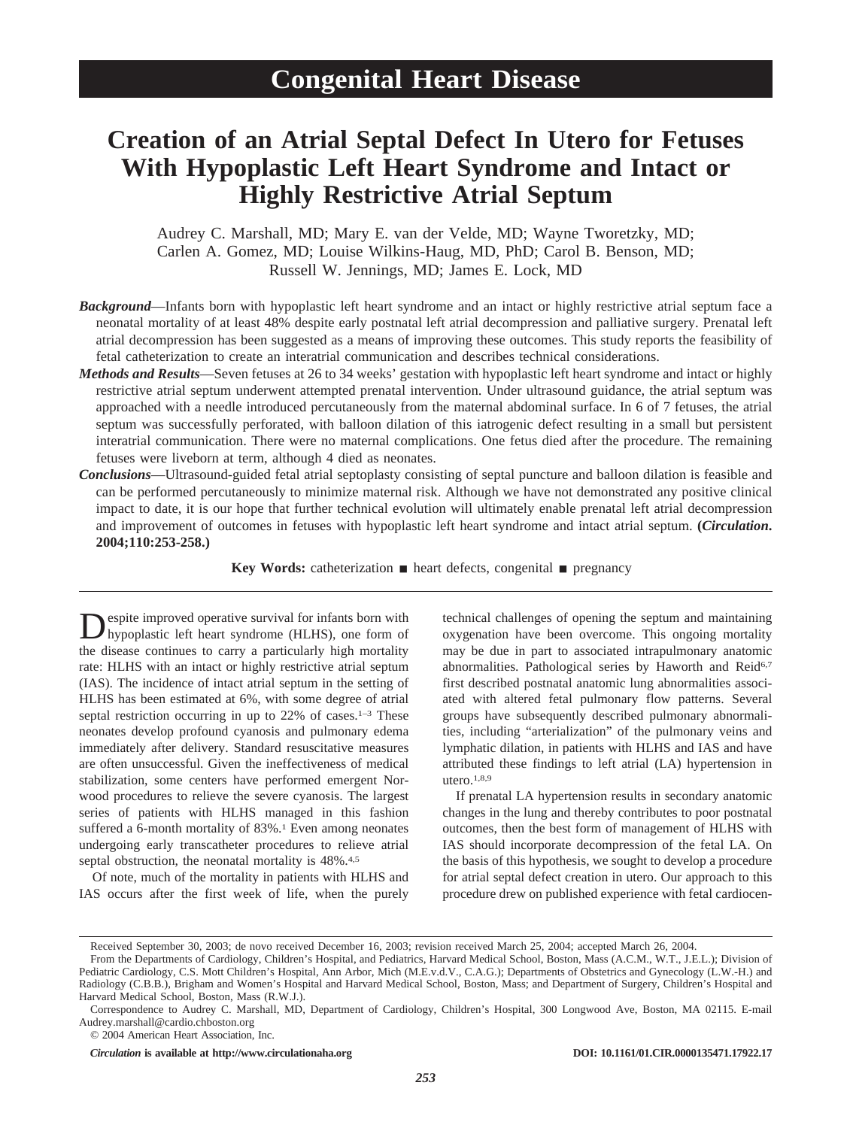# **Creation of an Atrial Septal Defect In Utero for Fetuses With Hypoplastic Left Heart Syndrome and Intact or Highly Restrictive Atrial Septum**

Audrey C. Marshall, MD; Mary E. van der Velde, MD; Wayne Tworetzky, MD; Carlen A. Gomez, MD; Louise Wilkins-Haug, MD, PhD; Carol B. Benson, MD; Russell W. Jennings, MD; James E. Lock, MD

- *Background*—Infants born with hypoplastic left heart syndrome and an intact or highly restrictive atrial septum face a neonatal mortality of at least 48% despite early postnatal left atrial decompression and palliative surgery. Prenatal left atrial decompression has been suggested as a means of improving these outcomes. This study reports the feasibility of fetal catheterization to create an interatrial communication and describes technical considerations.
- *Methods and Results*—Seven fetuses at 26 to 34 weeks' gestation with hypoplastic left heart syndrome and intact or highly restrictive atrial septum underwent attempted prenatal intervention. Under ultrasound guidance, the atrial septum was approached with a needle introduced percutaneously from the maternal abdominal surface. In 6 of 7 fetuses, the atrial septum was successfully perforated, with balloon dilation of this iatrogenic defect resulting in a small but persistent interatrial communication. There were no maternal complications. One fetus died after the procedure. The remaining fetuses were liveborn at term, although 4 died as neonates.
- *Conclusions*—Ultrasound-guided fetal atrial septoplasty consisting of septal puncture and balloon dilation is feasible and can be performed percutaneously to minimize maternal risk. Although we have not demonstrated any positive clinical impact to date, it is our hope that further technical evolution will ultimately enable prenatal left atrial decompression and improvement of outcomes in fetuses with hypoplastic left heart syndrome and intact atrial septum. **(***Circulation***. 2004;110:253-258.)**

**Key Words:** catheterization ■ heart defects, congenital ■ pregnancy

Despite improved operative survival for infants born with hypoplastic left heart syndrome (HLHS), one form of the disease continues to carry a particularly high mortality rate: HLHS with an intact or highly restrictive atrial septum (IAS). The incidence of intact atrial septum in the setting of HLHS has been estimated at 6%, with some degree of atrial septal restriction occurring in up to  $22\%$  of cases.<sup>1–3</sup> These neonates develop profound cyanosis and pulmonary edema immediately after delivery. Standard resuscitative measures are often unsuccessful. Given the ineffectiveness of medical stabilization, some centers have performed emergent Norwood procedures to relieve the severe cyanosis. The largest series of patients with HLHS managed in this fashion suffered a 6-month mortality of 83%.<sup>1</sup> Even among neonates undergoing early transcatheter procedures to relieve atrial septal obstruction, the neonatal mortality is  $48\%$ .<sup>4,5</sup>

Of note, much of the mortality in patients with HLHS and IAS occurs after the first week of life, when the purely technical challenges of opening the septum and maintaining oxygenation have been overcome. This ongoing mortality may be due in part to associated intrapulmonary anatomic abnormalities. Pathological series by Haworth and Reid<sup>6,7</sup> first described postnatal anatomic lung abnormalities associated with altered fetal pulmonary flow patterns. Several groups have subsequently described pulmonary abnormalities, including "arterialization" of the pulmonary veins and lymphatic dilation, in patients with HLHS and IAS and have attributed these findings to left atrial (LA) hypertension in utero. $1,8,9$ 

If prenatal LA hypertension results in secondary anatomic changes in the lung and thereby contributes to poor postnatal outcomes, then the best form of management of HLHS with IAS should incorporate decompression of the fetal LA. On the basis of this hypothesis, we sought to develop a procedure for atrial septal defect creation in utero. Our approach to this procedure drew on published experience with fetal cardiocen-

Received September 30, 2003; de novo received December 16, 2003; revision received March 25, 2004; accepted March 26, 2004.

From the Departments of Cardiology, Children's Hospital, and Pediatrics, Harvard Medical School, Boston, Mass (A.C.M., W.T., J.E.L.); Division of Pediatric Cardiology, C.S. Mott Children's Hospital, Ann Arbor, Mich (M.E.v.d.V., C.A.G.); Departments of Obstetrics and Gynecology (L.W.-H.) and Radiology (C.B.B.), Brigham and Women's Hospital and Harvard Medical School, Boston, Mass; and Department of Surgery, Children's Hospital and Harvard Medical School, Boston, Mass (R.W.J.).

Correspondence to Audrey C. Marshall, MD, Department of Cardiology, Children's Hospital, 300 Longwood Ave, Boston, MA 02115. E-mail Audrey.marshall@cardio.chboston.org

<sup>© 2004</sup> American Heart Association, Inc.

*Circulation* is available at http://www.circulationaha.org DOI: 10.1161/01.CIR.0000135471.17922.17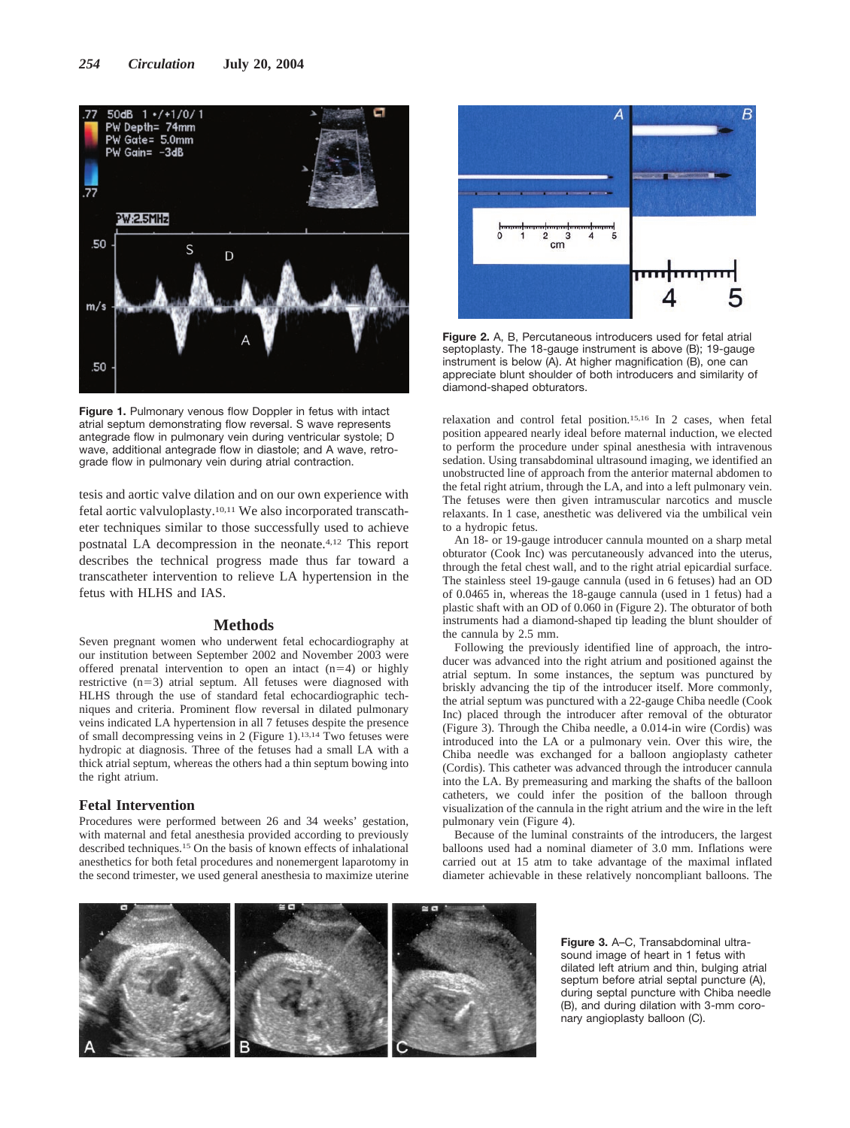

**Figure 1.** Pulmonary venous flow Doppler in fetus with intact atrial septum demonstrating flow reversal. S wave represents antegrade flow in pulmonary vein during ventricular systole; D wave, additional antegrade flow in diastole; and A wave, retrograde flow in pulmonary vein during atrial contraction.

tesis and aortic valve dilation and on our own experience with fetal aortic valvuloplasty.10,11 We also incorporated transcatheter techniques similar to those successfully used to achieve postnatal LA decompression in the neonate.4,12 This report describes the technical progress made thus far toward a transcatheter intervention to relieve LA hypertension in the fetus with HLHS and IAS.

# **Methods**

Seven pregnant women who underwent fetal echocardiography at our institution between September 2002 and November 2003 were offered prenatal intervention to open an intact  $(n=4)$  or highly restrictive  $(n=3)$  atrial septum. All fetuses were diagnosed with HLHS through the use of standard fetal echocardiographic techniques and criteria. Prominent flow reversal in dilated pulmonary veins indicated LA hypertension in all 7 fetuses despite the presence of small decompressing veins in 2 (Figure 1).13,14 Two fetuses were hydropic at diagnosis. Three of the fetuses had a small LA with a thick atrial septum, whereas the others had a thin septum bowing into the right atrium.

### **Fetal Intervention**

Procedures were performed between 26 and 34 weeks' gestation, with maternal and fetal anesthesia provided according to previously described techniques.15 On the basis of known effects of inhalational anesthetics for both fetal procedures and nonemergent laparotomy in the second trimester, we used general anesthesia to maximize uterine



**Figure 2.** A, B, Percutaneous introducers used for fetal atrial septoplasty. The 18-gauge instrument is above (B); 19-gauge instrument is below (A). At higher magnification (B), one can appreciate blunt shoulder of both introducers and similarity of diamond-shaped obturators.

relaxation and control fetal position.15,16 In 2 cases, when fetal position appeared nearly ideal before maternal induction, we elected to perform the procedure under spinal anesthesia with intravenous sedation. Using transabdominal ultrasound imaging, we identified an unobstructed line of approach from the anterior maternal abdomen to the fetal right atrium, through the LA, and into a left pulmonary vein. The fetuses were then given intramuscular narcotics and muscle relaxants. In 1 case, anesthetic was delivered via the umbilical vein to a hydropic fetus.

An 18- or 19-gauge introducer cannula mounted on a sharp metal obturator (Cook Inc) was percutaneously advanced into the uterus, through the fetal chest wall, and to the right atrial epicardial surface. The stainless steel 19-gauge cannula (used in 6 fetuses) had an OD of 0.0465 in, whereas the 18-gauge cannula (used in 1 fetus) had a plastic shaft with an OD of 0.060 in (Figure 2). The obturator of both instruments had a diamond-shaped tip leading the blunt shoulder of the cannula by 2.5 mm.

Following the previously identified line of approach, the introducer was advanced into the right atrium and positioned against the atrial septum. In some instances, the septum was punctured by briskly advancing the tip of the introducer itself. More commonly, the atrial septum was punctured with a 22-gauge Chiba needle (Cook Inc) placed through the introducer after removal of the obturator (Figure 3). Through the Chiba needle, a 0.014-in wire (Cordis) was introduced into the LA or a pulmonary vein. Over this wire, the Chiba needle was exchanged for a balloon angioplasty catheter (Cordis). This catheter was advanced through the introducer cannula into the LA. By premeasuring and marking the shafts of the balloon catheters, we could infer the position of the balloon through visualization of the cannula in the right atrium and the wire in the left pulmonary vein (Figure 4).

Because of the luminal constraints of the introducers, the largest balloons used had a nominal diameter of 3.0 mm. Inflations were carried out at 15 atm to take advantage of the maximal inflated diameter achievable in these relatively noncompliant balloons. The



**Figure 3.** A–C, Transabdominal ultrasound image of heart in 1 fetus with dilated left atrium and thin, bulging atrial septum before atrial septal puncture (A), during septal puncture with Chiba needle (B), and during dilation with 3-mm coronary angioplasty balloon (C).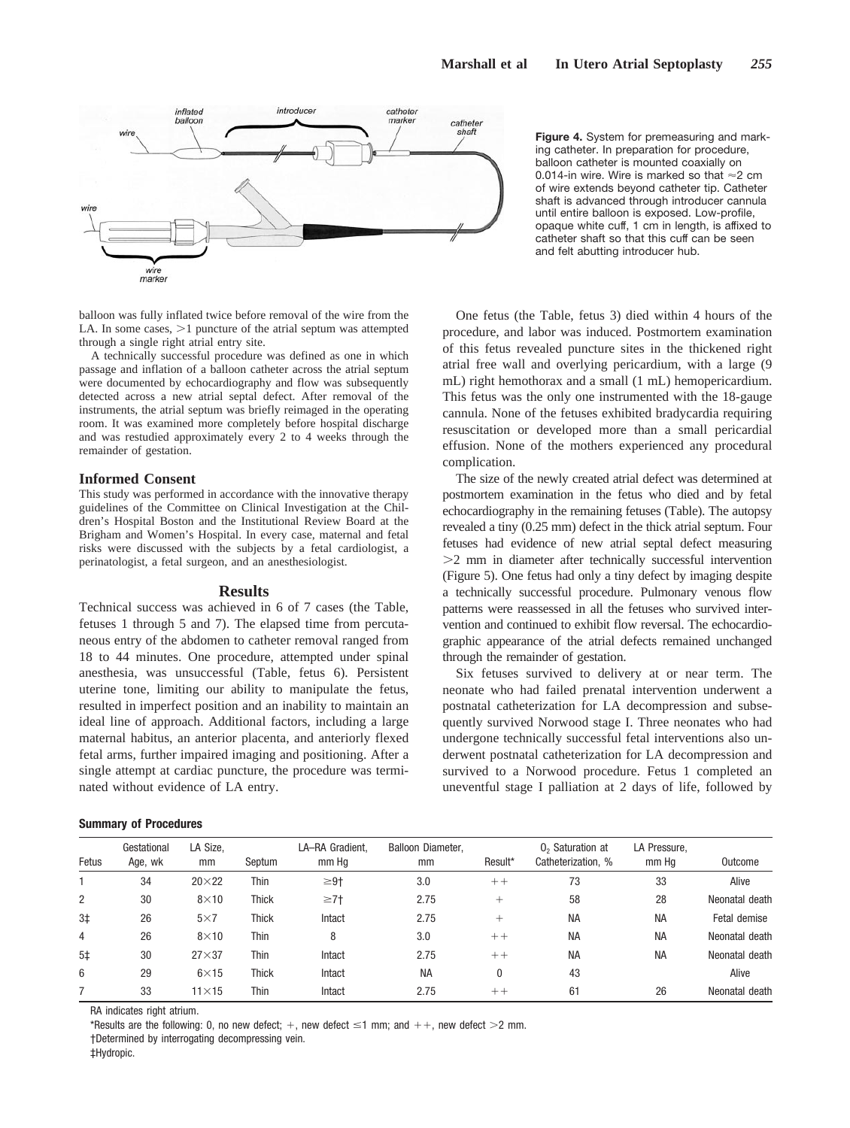

balloon was fully inflated twice before removal of the wire from the LA. In some cases,  $>1$  puncture of the atrial septum was attempted through a single right atrial entry site.

A technically successful procedure was defined as one in which passage and inflation of a balloon catheter across the atrial septum were documented by echocardiography and flow was subsequently detected across a new atrial septal defect. After removal of the instruments, the atrial septum was briefly reimaged in the operating room. It was examined more completely before hospital discharge and was restudied approximately every 2 to 4 weeks through the remainder of gestation.

# **Informed Consent**

This study was performed in accordance with the innovative therapy guidelines of the Committee on Clinical Investigation at the Children's Hospital Boston and the Institutional Review Board at the Brigham and Women's Hospital. In every case, maternal and fetal risks were discussed with the subjects by a fetal cardiologist, a perinatologist, a fetal surgeon, and an anesthesiologist.

#### **Results**

Technical success was achieved in 6 of 7 cases (the Table, fetuses 1 through 5 and 7). The elapsed time from percutaneous entry of the abdomen to catheter removal ranged from 18 to 44 minutes. One procedure, attempted under spinal anesthesia, was unsuccessful (Table, fetus 6). Persistent uterine tone, limiting our ability to manipulate the fetus, resulted in imperfect position and an inability to maintain an ideal line of approach. Additional factors, including a large maternal habitus, an anterior placenta, and anteriorly flexed fetal arms, further impaired imaging and positioning. After a single attempt at cardiac puncture, the procedure was terminated without evidence of LA entry.

**Figure 4.** System for premeasuring and marking catheter. In preparation for procedure, balloon catheter is mounted coaxially on 0.014-in wire. Wire is marked so that  $\approx$  2 cm of wire extends beyond catheter tip. Catheter shaft is advanced through introducer cannula until entire balloon is exposed. Low-profile, opaque white cuff, 1 cm in length, is affixed to catheter shaft so that this cuff can be seen and felt abutting introducer hub.

One fetus (the Table, fetus 3) died within 4 hours of the procedure, and labor was induced. Postmortem examination of this fetus revealed puncture sites in the thickened right atrial free wall and overlying pericardium, with a large (9 mL) right hemothorax and a small (1 mL) hemopericardium. This fetus was the only one instrumented with the 18-gauge cannula. None of the fetuses exhibited bradycardia requiring resuscitation or developed more than a small pericardial effusion. None of the mothers experienced any procedural complication.

The size of the newly created atrial defect was determined at postmortem examination in the fetus who died and by fetal echocardiography in the remaining fetuses (Table). The autopsy revealed a tiny (0.25 mm) defect in the thick atrial septum. Four fetuses had evidence of new atrial septal defect measuring -2 mm in diameter after technically successful intervention (Figure 5). One fetus had only a tiny defect by imaging despite a technically successful procedure. Pulmonary venous flow patterns were reassessed in all the fetuses who survived intervention and continued to exhibit flow reversal. The echocardiographic appearance of the atrial defects remained unchanged through the remainder of gestation.

Six fetuses survived to delivery at or near term. The neonate who had failed prenatal intervention underwent a postnatal catheterization for LA decompression and subsequently survived Norwood stage I. Three neonates who had undergone technically successful fetal interventions also underwent postnatal catheterization for LA decompression and survived to a Norwood procedure. Fetus 1 completed an uneventful stage I palliation at 2 days of life, followed by

| Fetus          | Gestational<br>Age, wk | LA Size,<br>mm | Septum | LA-RA Gradient.<br>mm Hq | Balloon Diameter,<br>mm | Result* | $02$ Saturation at<br>Catheterization, % | LA Pressure,<br>mm Hq | Outcome        |
|----------------|------------------------|----------------|--------|--------------------------|-------------------------|---------|------------------------------------------|-----------------------|----------------|
|                | 34                     | $20\times22$   | Thin   | $\geq 9$ t               | 3.0                     | $++$    | 73                                       | 33                    | Alive          |
| $\overline{2}$ | 30                     | $8\times10$    | Thick  | $\geq 7$ t               | 2.75                    | $^{+}$  | 58                                       | 28                    | Neonatal death |
| 3 <sup>‡</sup> | 26                     | $5\times7$     | Thick  | Intact                   | 2.75                    | $^{+}$  | <b>NA</b>                                | <b>NA</b>             | Fetal demise   |
| 4              | 26                     | $8\times10$    | Thin   | 8                        | 3.0                     | $++$    | <b>NA</b>                                | <b>NA</b>             | Neonatal death |
| 5 <sup>‡</sup> | 30                     | $27\times37$   | Thin   | Intact                   | 2.75                    | $++$    | <b>NA</b>                                | <b>NA</b>             | Neonatal death |
| 6              | 29                     | $6\times15$    | Thick  | Intact                   | <b>NA</b>               | 0       | 43                                       |                       | Alive          |
|                | 33                     | $11\times15$   | Thin   | Intact                   | 2.75                    |         | 61                                       | 26                    | Neonatal death |

RA indicates right atrium.

\*Results are the following: 0, no new defect;  $+$ , new defect  $\leq$ 1 mm; and  $++$ , new defect  $>$ 2 mm.

†Determined by interrogating decompressing vein.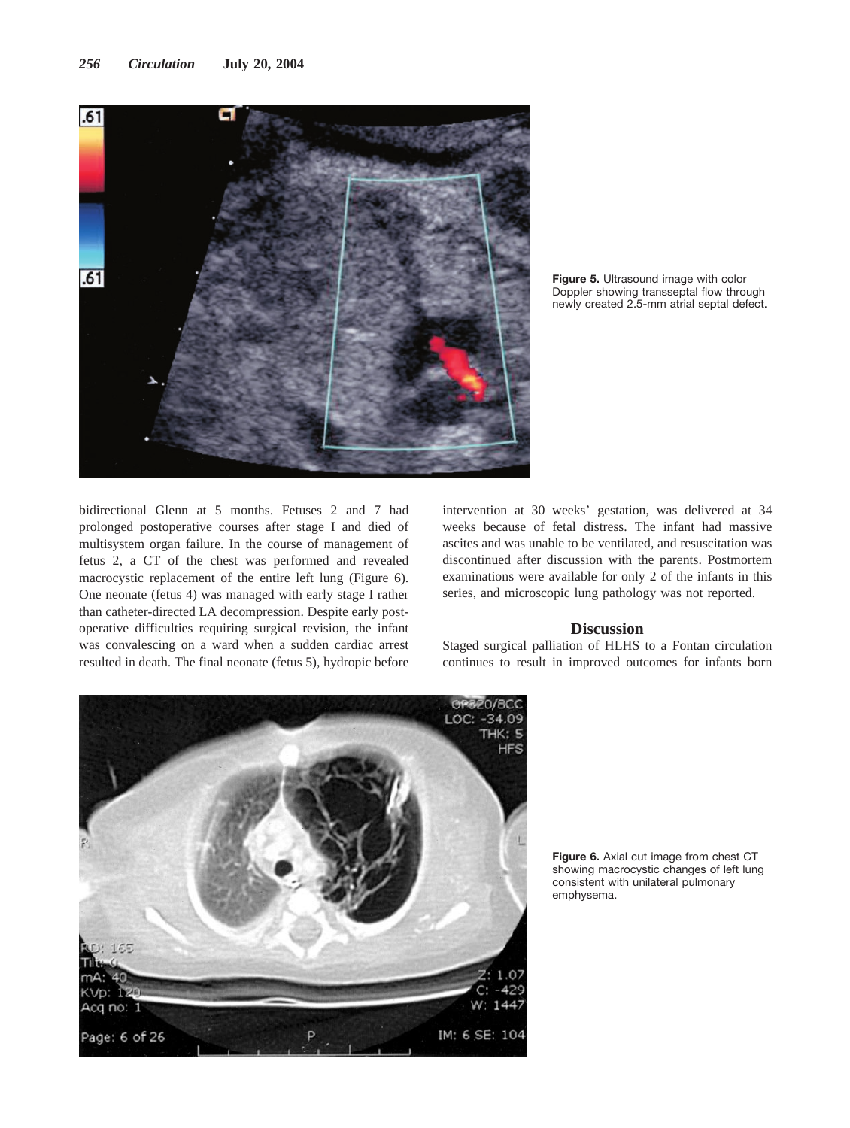

**Figure 5.** Ultrasound image with color Doppler showing transseptal flow through newly created 2.5-mm atrial septal defect.

bidirectional Glenn at 5 months. Fetuses 2 and 7 had prolonged postoperative courses after stage I and died of multisystem organ failure. In the course of management of fetus 2, a CT of the chest was performed and revealed macrocystic replacement of the entire left lung (Figure 6). One neonate (fetus 4) was managed with early stage I rather than catheter-directed LA decompression. Despite early postoperative difficulties requiring surgical revision, the infant was convalescing on a ward when a sudden cardiac arrest resulted in death. The final neonate (fetus 5), hydropic before intervention at 30 weeks' gestation, was delivered at 34 weeks because of fetal distress. The infant had massive ascites and was unable to be ventilated, and resuscitation was discontinued after discussion with the parents. Postmortem examinations were available for only 2 of the infants in this series, and microscopic lung pathology was not reported.

# **Discussion**

Staged surgical palliation of HLHS to a Fontan circulation continues to result in improved outcomes for infants born



**Figure 6.** Axial cut image from chest CT showing macrocystic changes of left lung consistent with unilateral pulmonary emphysema.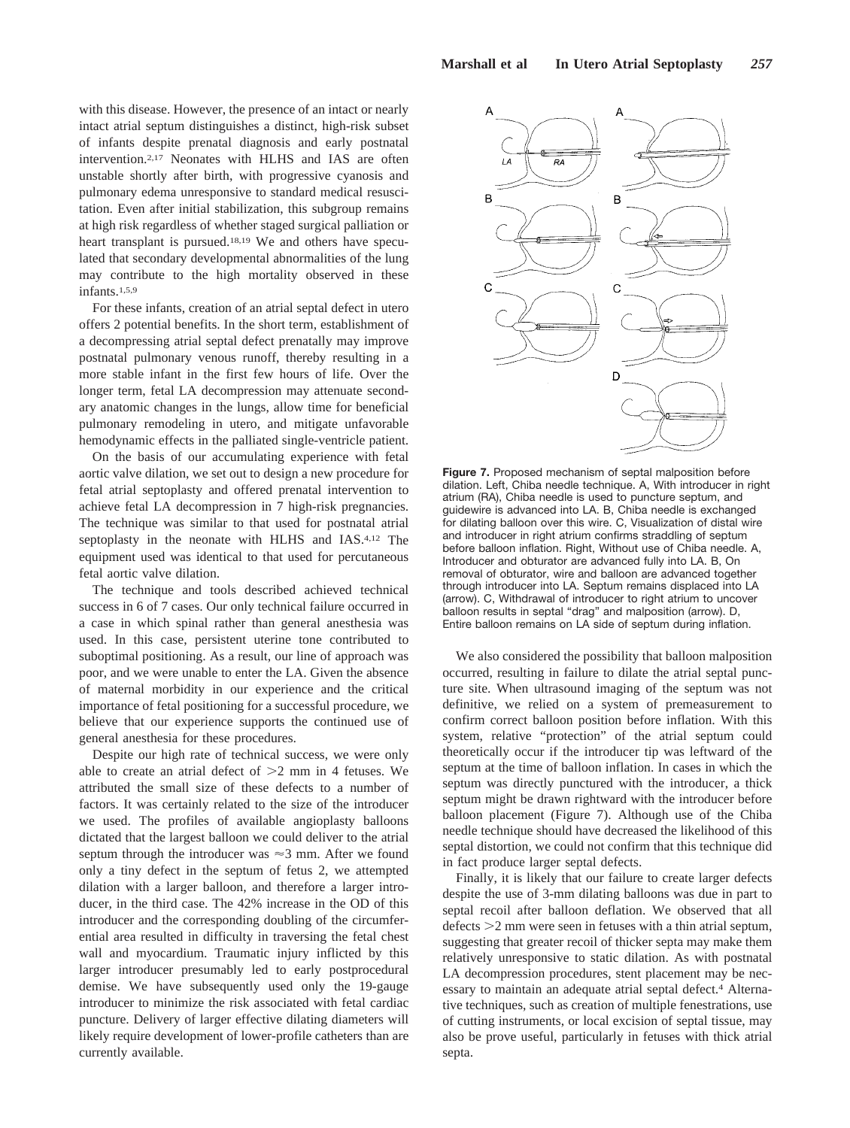with this disease. However, the presence of an intact or nearly intact atrial septum distinguishes a distinct, high-risk subset of infants despite prenatal diagnosis and early postnatal intervention.2,17 Neonates with HLHS and IAS are often unstable shortly after birth, with progressive cyanosis and pulmonary edema unresponsive to standard medical resuscitation. Even after initial stabilization, this subgroup remains at high risk regardless of whether staged surgical palliation or heart transplant is pursued.<sup>18,19</sup> We and others have speculated that secondary developmental abnormalities of the lung may contribute to the high mortality observed in these infants.1,5,9

For these infants, creation of an atrial septal defect in utero offers 2 potential benefits. In the short term, establishment of a decompressing atrial septal defect prenatally may improve postnatal pulmonary venous runoff, thereby resulting in a more stable infant in the first few hours of life. Over the longer term, fetal LA decompression may attenuate secondary anatomic changes in the lungs, allow time for beneficial pulmonary remodeling in utero, and mitigate unfavorable hemodynamic effects in the palliated single-ventricle patient.

On the basis of our accumulating experience with fetal aortic valve dilation, we set out to design a new procedure for fetal atrial septoplasty and offered prenatal intervention to achieve fetal LA decompression in 7 high-risk pregnancies. The technique was similar to that used for postnatal atrial septoplasty in the neonate with HLHS and IAS.4,12 The equipment used was identical to that used for percutaneous fetal aortic valve dilation.

The technique and tools described achieved technical success in 6 of 7 cases. Our only technical failure occurred in a case in which spinal rather than general anesthesia was used. In this case, persistent uterine tone contributed to suboptimal positioning. As a result, our line of approach was poor, and we were unable to enter the LA. Given the absence of maternal morbidity in our experience and the critical importance of fetal positioning for a successful procedure, we believe that our experience supports the continued use of general anesthesia for these procedures.

Despite our high rate of technical success, we were only able to create an atrial defect of  $\geq 2$  mm in 4 fetuses. We attributed the small size of these defects to a number of factors. It was certainly related to the size of the introducer we used. The profiles of available angioplasty balloons dictated that the largest balloon we could deliver to the atrial septum through the introducer was  $\approx$  3 mm. After we found only a tiny defect in the septum of fetus 2, we attempted dilation with a larger balloon, and therefore a larger introducer, in the third case. The 42% increase in the OD of this introducer and the corresponding doubling of the circumferential area resulted in difficulty in traversing the fetal chest wall and myocardium. Traumatic injury inflicted by this larger introducer presumably led to early postprocedural demise. We have subsequently used only the 19-gauge introducer to minimize the risk associated with fetal cardiac puncture. Delivery of larger effective dilating diameters will likely require development of lower-profile catheters than are currently available.



**Figure 7.** Proposed mechanism of septal malposition before dilation. Left, Chiba needle technique. A, With introducer in right atrium (RA), Chiba needle is used to puncture septum, and guidewire is advanced into LA. B, Chiba needle is exchanged for dilating balloon over this wire. C, Visualization of distal wire and introducer in right atrium confirms straddling of septum before balloon inflation. Right, Without use of Chiba needle. A, Introducer and obturator are advanced fully into LA. B, On removal of obturator, wire and balloon are advanced together through introducer into LA. Septum remains displaced into LA (arrow). C, Withdrawal of introducer to right atrium to uncover balloon results in septal "drag" and malposition (arrow). D, Entire balloon remains on LA side of septum during inflation.

We also considered the possibility that balloon malposition occurred, resulting in failure to dilate the atrial septal puncture site. When ultrasound imaging of the septum was not definitive, we relied on a system of premeasurement to confirm correct balloon position before inflation. With this system, relative "protection" of the atrial septum could theoretically occur if the introducer tip was leftward of the septum at the time of balloon inflation. In cases in which the septum was directly punctured with the introducer, a thick septum might be drawn rightward with the introducer before balloon placement (Figure 7). Although use of the Chiba needle technique should have decreased the likelihood of this septal distortion, we could not confirm that this technique did in fact produce larger septal defects.

Finally, it is likely that our failure to create larger defects despite the use of 3-mm dilating balloons was due in part to septal recoil after balloon deflation. We observed that all defects -2 mm were seen in fetuses with a thin atrial septum, suggesting that greater recoil of thicker septa may make them relatively unresponsive to static dilation. As with postnatal LA decompression procedures, stent placement may be necessary to maintain an adequate atrial septal defect.4 Alternative techniques, such as creation of multiple fenestrations, use of cutting instruments, or local excision of septal tissue, may also be prove useful, particularly in fetuses with thick atrial septa.